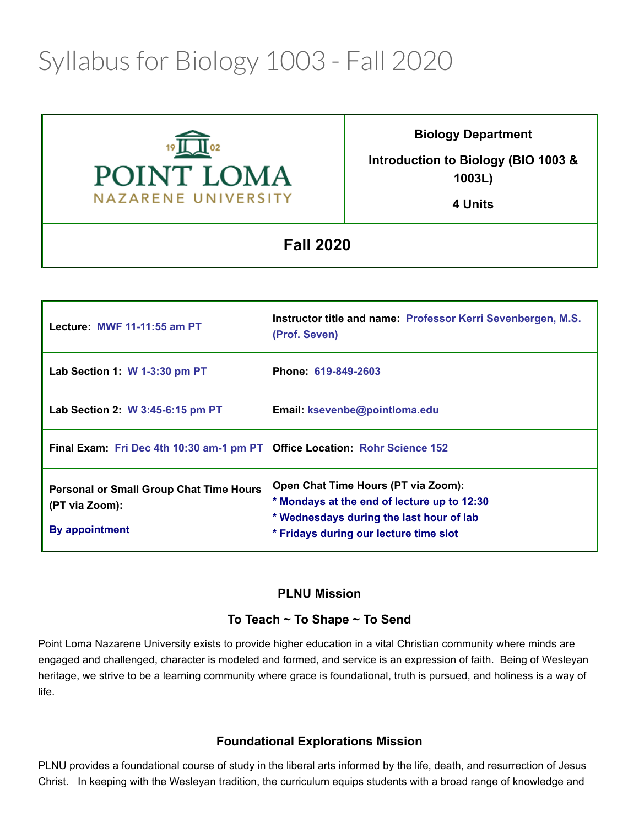# Syllabus for Biology 1003 - Fall 2020



**Biology Department**

**Introduction to Biology (BIO 1003 & 1003L)**

**4 Units**

**Fall 2020** 

| Lecture: MWF 11-11:55 am PT                                                        | Instructor title and name: Professor Kerri Sevenbergen, M.S.<br>(Prof. Seven)                                                                                            |
|------------------------------------------------------------------------------------|--------------------------------------------------------------------------------------------------------------------------------------------------------------------------|
| Lab Section 1: W 1-3:30 pm PT                                                      | Phone: 619-849-2603                                                                                                                                                      |
| Lab Section 2: W 3:45-6:15 pm PT                                                   | Email: ksevenbe@pointloma.edu                                                                                                                                            |
| Final Exam: Fri Dec 4th 10:30 am-1 pm PT                                           | <b>Office Location: Rohr Science 152</b>                                                                                                                                 |
| <b>Personal or Small Group Chat Time Hours</b><br>(PT via Zoom):<br>By appointment | Open Chat Time Hours (PT via Zoom):<br>* Mondays at the end of lecture up to 12:30<br>* Wednesdays during the last hour of lab<br>* Fridays during our lecture time slot |

#### **PLNU Mission**

# **To Teach ~ To Shape ~ To Send**

Point Loma Nazarene University exists to provide higher education in a vital Christian community where minds are engaged and challenged, character is modeled and formed, and service is an expression of faith. Being of Wesleyan heritage, we strive to be a learning community where grace is foundational, truth is pursued, and holiness is a way of life.

# **Foundational Explorations Mission**

PLNU provides a foundational course of study in the liberal arts informed by the life, death, and resurrection of Jesus Christ. In keeping with the Wesleyan tradition, the curriculum equips students with a broad range of knowledge and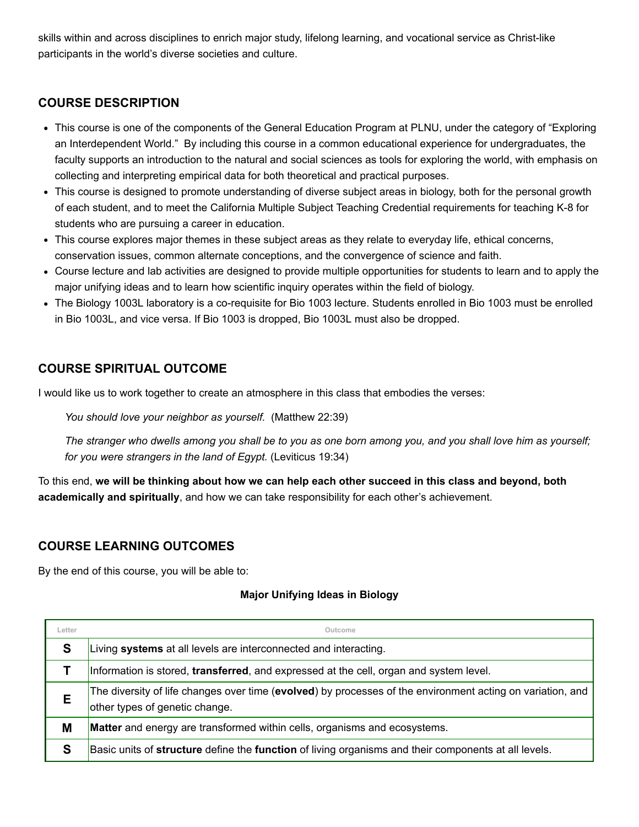skills within and across disciplines to enrich major study, lifelong learning, and vocational service as Christ-like participants in the world's diverse societies and culture.

# **COURSE DESCRIPTION**

- This course is one of the components of the General Education Program at PLNU, under the category of "Exploring an Interdependent World." By including this course in a common educational experience for undergraduates, the faculty supports an introduction to the natural and social sciences as tools for exploring the world, with emphasis on collecting and interpreting empirical data for both theoretical and practical purposes.
- This course is designed to promote understanding of diverse subject areas in biology, both for the personal growth of each student, and to meet the California Multiple Subject Teaching Credential requirements for teaching K-8 for students who are pursuing a career in education.
- This course explores major themes in these subject areas as they relate to everyday life, ethical concerns, conservation issues, common alternate conceptions, and the convergence of science and faith.
- Course lecture and lab activities are designed to provide multiple opportunities for students to learn and to apply the major unifying ideas and to learn how scientific inquiry operates within the field of biology.
- The Biology 1003L laboratory is a co-requisite for Bio 1003 lecture. Students enrolled in Bio 1003 must be enrolled in Bio 1003L, and vice versa. If Bio 1003 is dropped, Bio 1003L must also be dropped.

# **COURSE SPIRITUAL OUTCOME**

I would like us to work together to create an atmosphere in this class that embodies the verses:

*You should love your neighbor as yourself.* (Matthew 22:39)

*The stranger who dwells among you shall be to you as one born among you, and you shall love him as yourself; for you were strangers in the land of Egypt.* (Leviticus 19:34)

To this end, **we will be thinking about how we can help each other succeed in this class and beyond, both academically and spiritually**, and how we can take responsibility for each other's achievement.

#### **COURSE LEARNING OUTCOMES**

By the end of this course, you will be able to:

#### **Major Unifying Ideas in Biology**

| Letter | Outcome                                                                                                                                      |  |  |  |  |
|--------|----------------------------------------------------------------------------------------------------------------------------------------------|--|--|--|--|
| S      | Living systems at all levels are interconnected and interacting.                                                                             |  |  |  |  |
|        | Information is stored, transferred, and expressed at the cell, organ and system level.                                                       |  |  |  |  |
| Е      | The diversity of life changes over time (evolved) by processes of the environment acting on variation, and<br>other types of genetic change. |  |  |  |  |
| M      | Matter and energy are transformed within cells, organisms and ecosystems.                                                                    |  |  |  |  |
| S      | Basic units of structure define the function of living organisms and their components at all levels.                                         |  |  |  |  |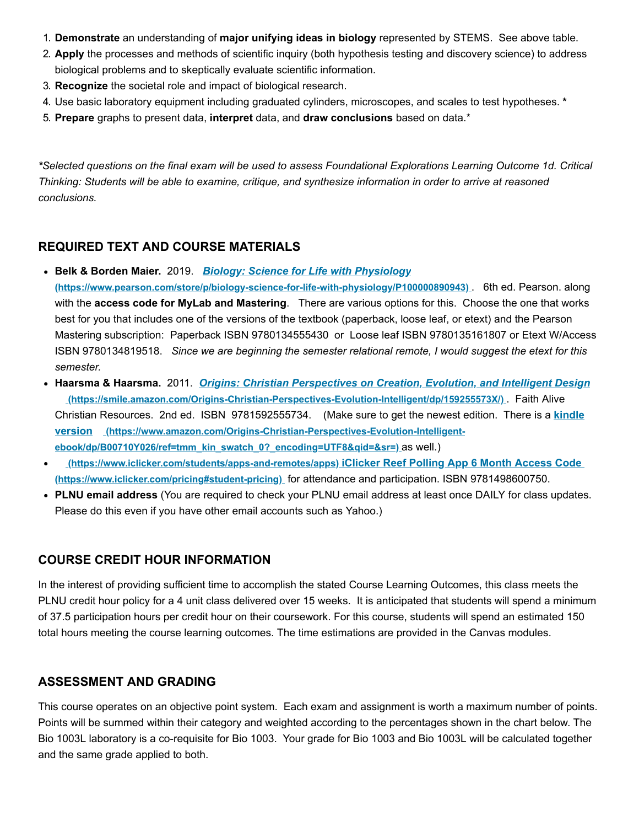- 1. **Demonstrate** an understanding of **major unifying ideas in biology** represented by STEMS. See above table.
- 2. **Apply** the processes and methods of scientific inquiry (both hypothesis testing and discovery science) to address biological problems and to skeptically evaluate scientific information.
- 3. **Recognize** the societal role and impact of biological research.
- 4. Use basic laboratory equipment including graduated cylinders, microscopes, and scales to test hypotheses. **\***
- 5. **Prepare** graphs to present data, **interpret** data, and **draw conclusions** based on data.\*

*\*Selected questions on the final exam will be used to assess Foundational Explorations Learning Outcome 1d. Critical Thinking: Students will be able to examine, critique, and synthesize information in order to arrive at reasoned conclusions.*

#### **REQUIRED TEXT AND COURSE MATERIALS**

- **Belk & Borden Maier.** 2019. *Biology: Science for Life with Physiology*
- **[\(https://www.pearson.com/store/p/biology-science-for-life-with-physiology/P100000890943\)](https://www.pearson.com/store/p/biology-science-for-life-with-physiology/P100000890943)** . 6th ed. Pearson. along with the **access code for MyLab and Mastering**. There are various options for this. Choose the one that works best for you that includes one of the versions of the textbook (paperback, loose leaf, or etext) and the Pearson Mastering subscription: Paperback ISBN 9780134555430 or Loose leaf ISBN 9780135161807 or Etext W/Access ISBN 9780134819518. *Since we are beginning the semester relational remote, I would suggest the etext for this semester.*
- **Haarsma & Haarsma.** 2011. *Origins: Christian Perspectives on Creation, Evolution, and Intelligent Design* **[\(https://smile.amazon.com/Origins-Christian-Perspectives-Evolution-Intelligent/dp/159255573X/\)](https://smile.amazon.com/Origins-Christian-Perspectives-Evolution-Intelligent/dp/159255573X/)** . Faith Alive [Christian Resources. 2nd ed. ISBN 9781592555734. \(Make sure to get the newest edition. There is a](https://www.amazon.com/Origins-Christian-Perspectives-Evolution-Intelligent-ebook/dp/B00710Y026/ref=tmm_kin_swatch_0?_encoding=UTF8&qid=&sr=) **kindle version (https://www.amazon.com/Origins-Christian-Perspectives-Evolution-Intelligentebook/dp/B00710Y026/ref=tmm\_kin\_swatch\_0?\_encoding=UTF8&qid=&sr=)** as well.)
- **[\(https://www.iclicker.com/students/apps-and-remotes/apps\)](https://www.iclicker.com/students/apps-and-remotes/apps) iClicker Reef Polling App 6 Month Access Code (https://www.iclicker.com/pricing#student-pricing)** [for attendance and participation. ISBN 9781498600750.](https://www.iclicker.com/pricing#student-pricing)
- **PLNU email address** (You are required to check your PLNU email address at least once DAILY for class updates. Please do this even if you have other email accounts such as Yahoo.)

#### **COURSE CREDIT HOUR INFORMATION**

In the interest of providing sufficient time to accomplish the stated Course Learning Outcomes, this class meets the PLNU credit hour policy for a 4 unit class delivered over 15 weeks. It is anticipated that students will spend a minimum of 37.5 participation hours per credit hour on their coursework. For this course, students will spend an estimated 150 total hours meeting the course learning outcomes. The time estimations are provided in the Canvas modules.

#### **ASSESSMENT AND GRADING**

This course operates on an objective point system. Each exam and assignment is worth a maximum number of points. Points will be summed within their category and weighted according to the percentages shown in the chart below. The Bio 1003L laboratory is a co-requisite for Bio 1003. Your grade for Bio 1003 and Bio 1003L will be calculated together and the same grade applied to both.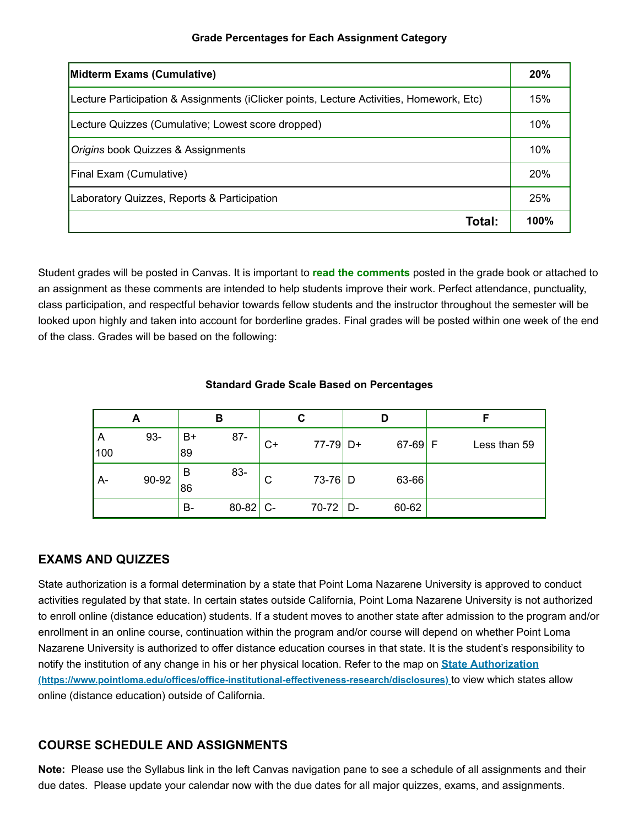| Midterm Exams (Cumulative)                                                               |      |  |
|------------------------------------------------------------------------------------------|------|--|
| Lecture Participation & Assignments (iClicker points, Lecture Activities, Homework, Etc) | 15%  |  |
| Lecture Quizzes (Cumulative; Lowest score dropped)                                       | 10%  |  |
| Origins book Quizzes & Assignments                                                       | 10%  |  |
| Final Exam (Cumulative)                                                                  | 20%  |  |
| Laboratory Quizzes, Reports & Participation                                              | 25%  |  |
| Total:                                                                                   | 100% |  |

Student grades will be posted in Canvas. It is important to **read the comments** posted in the grade book or attached to an assignment as these comments are intended to help students improve their work. Perfect attendance, punctuality, class participation, and respectful behavior towards fellow students and the instructor throughout the semester will be looked upon highly and taken into account for borderline grades. Final grades will be posted within one week of the end of the class. Grades will be based on the following:

#### **Standard Grade Scale Based on Percentages**

| А        |       | в        |            | С  |            | D |           | F            |  |
|----------|-------|----------|------------|----|------------|---|-----------|--------------|--|
| A<br>100 | 93-   | B+<br>89 | $87 -$     | C+ | 77-79 D+   |   | $67-69$ F | Less than 59 |  |
| A-       | 90-92 | в<br>86  | 83-        | C  | $73-76$ D  |   | 63-66     |              |  |
|          |       | B-       | $80-82$ C- |    | $70-72$ D- |   | 60-62     |              |  |

#### **EXAMS AND QUIZZES**

State authorization is a formal determination by a state that Point Loma Nazarene University is approved to conduct activities regulated by that state. In certain states outside California, Point Loma Nazarene University is not authorized to enroll online (distance education) students. If a student moves to another state after admission to the program and/or enrollment in an online course, continuation within the program and/or course will depend on whether Point Loma Nazarene University is authorized to offer distance education courses in that state. It is the student's responsibility to [notify the institution of any change in his or her physical location. Refer to the map on](https://www.pointloma.edu/offices/office-institutional-effectiveness-research/disclosures) **State Authorization (https://www.pointloma.edu/offices/office-institutional-effectiveness-research/disclosures)** to view which states allow online (distance education) outside of California.

# **COURSE SCHEDULE AND ASSIGNMENTS**

**Note:** Please use the Syllabus link in the left Canvas navigation pane to see a schedule of all assignments and their due dates. Please update your calendar now with the due dates for all major quizzes, exams, and assignments.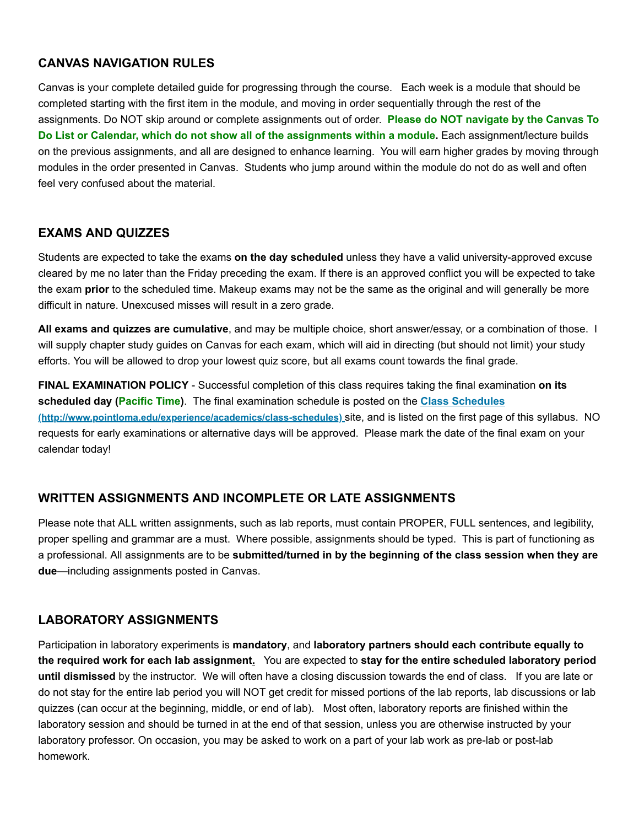# **CANVAS NAVIGATION RULES**

Canvas is your complete detailed guide for progressing through the course. Each week is a module that should be completed starting with the first item in the module, and moving in order sequentially through the rest of the assignments. Do NOT skip around or complete assignments out of order. **Please do NOT navigate by the Canvas To Do List or Calendar, which do not show all of the assignments within a module.** Each assignment/lecture builds on the previous assignments, and all are designed to enhance learning. You will earn higher grades by moving through modules in the order presented in Canvas. Students who jump around within the module do not do as well and often feel very confused about the material.

#### **EXAMS AND QUIZZES**

Students are expected to take the exams **on the day scheduled** unless they have a valid university-approved excuse cleared by me no later than the Friday preceding the exam. If there is an approved conflict you will be expected to take the exam **prior** to the scheduled time. Makeup exams may not be the same as the original and will generally be more difficult in nature. Unexcused misses will result in a zero grade.

**All exams and quizzes are cumulative**, and may be multiple choice, short answer/essay, or a combination of those. I will supply chapter study guides on Canvas for each exam, which will aid in directing (but should not limit) your study efforts. You will be allowed to drop your lowest quiz score, but all exams count towards the final grade.

**FINAL EXAMINATION POLICY** - Successful completion of this class requires taking the final examination **on its scheduled day (Pacific Time)**. The final examination schedule is posted on the **Class Schedules [\(http://www.pointloma.edu/experience/academics/class-schedules\)](http://www.pointloma.edu/experience/academics/class-schedules)** site, and is listed on the first page of this syllabus. NO requests for early examinations or alternative days will be approved. Please mark the date of the final exam on your calendar today!

# **WRITTEN ASSIGNMENTS AND INCOMPLETE OR LATE ASSIGNMENTS**

Please note that ALL written assignments, such as lab reports, must contain PROPER, FULL sentences, and legibility, proper spelling and grammar are a must. Where possible, assignments should be typed. This is part of functioning as a professional. All assignments are to be **submitted/turned in by the beginning of the class session when they are due**—including assignments posted in Canvas.

# **LABORATORY ASSIGNMENTS**

Participation in laboratory experiments is **mandatory**, and **laboratory partners should each contribute equally to the required work for each lab assignment.** You are expected to **stay for the entire scheduled laboratory period until dismissed** by the instructor. We will often have a closing discussion towards the end of class. If you are late or do not stay for the entire lab period you will NOT get credit for missed portions of the lab reports, lab discussions or lab quizzes (can occur at the beginning, middle, or end of lab). Most often, laboratory reports are finished within the laboratory session and should be turned in at the end of that session, unless you are otherwise instructed by your laboratory professor. On occasion, you may be asked to work on a part of your lab work as pre-lab or post-lab homework.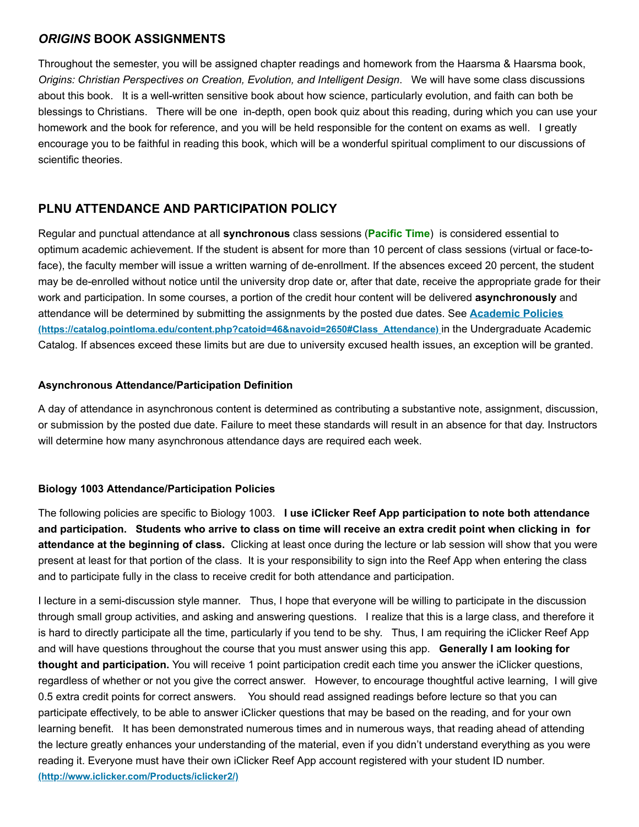#### *ORIGINS* **BOOK ASSIGNMENTS**

Throughout the semester, you will be assigned chapter readings and homework from the Haarsma & Haarsma book, *Origins: Christian Perspectives on Creation, Evolution, and Intelligent Design*. We will have some class discussions about this book. It is a well-written sensitive book about how science, particularly evolution, and faith can both be blessings to Christians. There will be one in-depth, open book quiz about this reading, during which you can use your homework and the book for reference, and you will be held responsible for the content on exams as well. I greatly encourage you to be faithful in reading this book, which will be a wonderful spiritual compliment to our discussions of scientific theories.

# **PLNU ATTENDANCE AND PARTICIPATION POLICY**

Regular and punctual attendance at all **synchronous** class sessions (**Pacific Time**) is considered essential to optimum academic achievement. If the student is absent for more than 10 percent of class sessions (virtual or face-toface), the faculty member will issue a written warning of de-enrollment. If the absences exceed 20 percent, the student may be de-enrolled without notice until the university drop date or, after that date, receive the appropriate grade for their work and participation. In some courses, a portion of the credit hour content will be delivered **asynchronously** and [attendance will be determined by submitting the assignments by the posted due dates. See](https://catalog.pointloma.edu/content.php?catoid=46&navoid=2650#Class_Attendance) **Academic Policies (https://catalog.pointloma.edu/content.php?catoid=46&navoid=2650#Class\_Attendance)** in the Undergraduate Academic Catalog. If absences exceed these limits but are due to university excused health issues, an exception will be granted.

#### **Asynchronous Attendance/Participation Definition**

A day of attendance in asynchronous content is determined as contributing a substantive note, assignment, discussion, or submission by the posted due date. Failure to meet these standards will result in an absence for that day. Instructors will determine how many asynchronous attendance days are required each week.

#### **Biology 1003 Attendance/Participation Policies**

The following policies are specific to Biology 1003. **I use iClicker Reef App participation to note both attendance and participation. Students who arrive to class on time will receive an extra credit point when clicking in for attendance at the beginning of class.** Clicking at least once during the lecture or lab session will show that you were present at least for that portion of the class. It is your responsibility to sign into the Reef App when entering the class and to participate fully in the class to receive credit for both attendance and participation.

I lecture in a semi-discussion style manner. Thus, I hope that everyone will be willing to participate in the discussion through small group activities, and asking and answering questions. I realize that this is a large class, and therefore it is hard to directly participate all the time, particularly if you tend to be shy. Thus, I am requiring the iClicker Reef App and will have questions throughout the course that you must answer using this app. **Generally I am looking for thought and participation.** You will receive 1 point participation credit each time you answer the iClicker questions, regardless of whether or not you give the correct answer. However, to encourage thoughtful active learning, I will give 0.5 extra credit points for correct answers. You should read assigned readings before lecture so that you can participate effectively, to be able to answer iClicker questions that may be based on the reading, and for your own learning benefit. It has been demonstrated numerous times and in numerous ways, that reading ahead of attending the lecture greatly enhances your understanding of the material, even if you didn't understand everything as you were [reading it. Everyone must have their own iClicker Reef App account registered with your student ID number.](http://www.iclicker.com/Products/iclicker2/) **(http://www.iclicker.com/Products/iclicker2/)**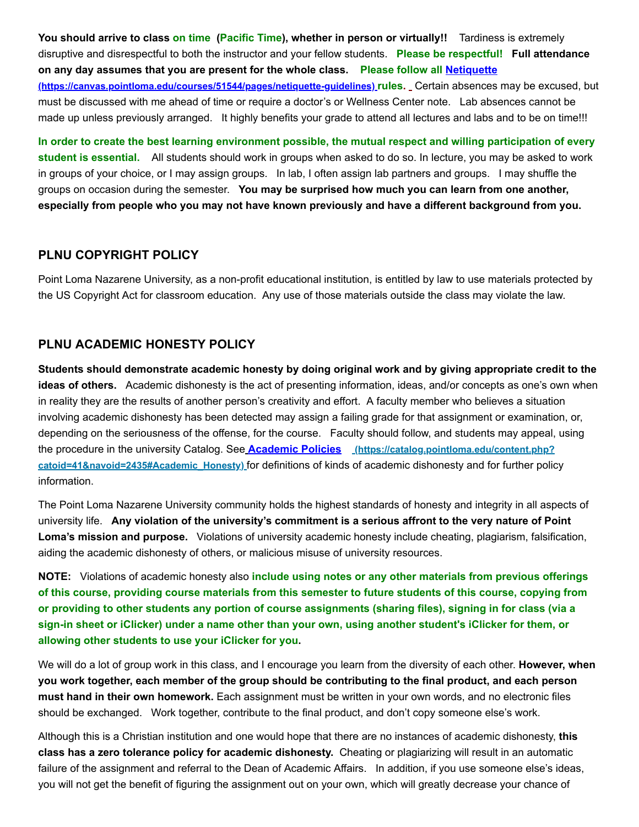**You should arrive to class on time (Pacific Time), whether in person or virtually!!** Tardiness is extremely disruptive and disrespectful to both the instructor and your fellow students. **Please be respectful! Full attendance [on any day assumes that you are present for the whole class.](https://canvas.pointloma.edu/courses/51544/pages/netiquette-guidelines) Please follow all Netiquette (https://canvas.pointloma.edu/courses/51544/pages/netiquette-guidelines) rules.** Certain absences may be excused, but must be discussed with me ahead of time or require a doctor's or Wellness Center note. Lab absences cannot be made up unless previously arranged. It highly benefits your grade to attend all lectures and labs and to be on time!!!

**In order to create the best learning environment possible, the mutual respect and willing participation of every student is essential.** All students should work in groups when asked to do so. In lecture, you may be asked to work in groups of your choice, or I may assign groups. In lab, I often assign lab partners and groups. I may shuffle the groups on occasion during the semester. **You may be surprised how much you can learn from one another, especially from people who you may not have known previously and have a different background from you.**

#### **PLNU COPYRIGHT POLICY**

Point Loma Nazarene University, as a non-profit educational institution, is entitled by law to use materials protected by the US Copyright Act for classroom education. Any use of those materials outside the class may violate the law.

# **PLNU ACADEMIC HONESTY POLICY**

**Students should demonstrate academic honesty by doing original work and by giving appropriate credit to the ideas of others.** Academic dishonesty is the act of presenting information, ideas, and/or concepts as one's own when in reality they are the results of another person's creativity and effort. A faculty member who believes a situation involving academic dishonesty has been detected may assign a failing grade for that assignment or examination, or, depending on the seriousness of the offense, for the course. Faculty should follow, and students may appeal, using the procedure in the university Catalog. See **Academic Policies (https://catalog.pointloma.edu/content.php? catoid=41&navoid=2435#Academic\_Honesty)** [for definitions of kinds of academic dishonesty and for further polic](https://catalog.pointloma.edu/content.php?catoid=41&navoid=2435#Academic_Honesty)y information.

The Point Loma Nazarene University community holds the highest standards of honesty and integrity in all aspects of university life. **Any violation of the university's commitment is a serious affront to the very nature of Point Loma's mission and purpose.** Violations of university academic honesty include cheating, plagiarism, falsification, aiding the academic dishonesty of others, or malicious misuse of university resources.

**NOTE:** Violations of academic honesty also **include using notes or any other materials from previous offerings of this course, providing course materials from this semester to future students of this course, copying from or providing to other students any portion of course assignments (sharing files), signing in for class (via a sign-in sheet or iClicker) under a name other than your own, using another student's iClicker for them, or allowing other students to use your iClicker for you.**

We will do a lot of group work in this class, and I encourage you learn from the diversity of each other. **However, when you work together, each member of the group should be contributing to the final product, and each person must hand in their own homework.** Each assignment must be written in your own words, and no electronic files should be exchanged. Work together, contribute to the final product, and don't copy someone else's work.

Although this is a Christian institution and one would hope that there are no instances of academic dishonesty, **this class has a zero tolerance policy for academic dishonesty.** Cheating or plagiarizing will result in an automatic failure of the assignment and referral to the Dean of Academic Affairs. In addition, if you use someone else's ideas, you will not get the benefit of figuring the assignment out on your own, which will greatly decrease your chance of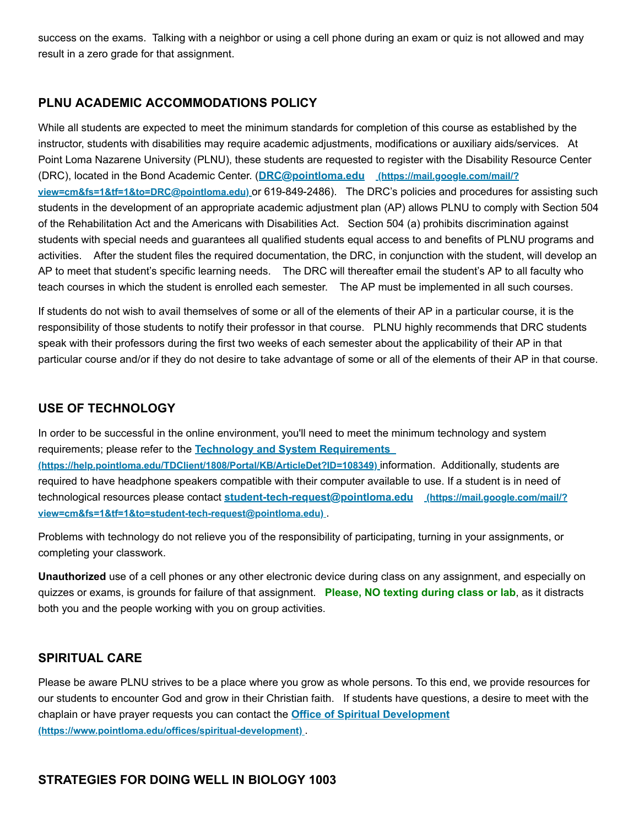success on the exams. Talking with a neighbor or using a cell phone during an exam or quiz is not allowed and may result in a zero grade for that assignment.

#### **PLNU ACADEMIC ACCOMMODATIONS POLICY**

While all students are expected to meet the minimum standards for completion of this course as established by the instructor, students with disabilities may require academic adjustments, modifications or auxiliary aids/services. At Point Loma Nazarene University (PLNU), these students are requested to register with the Disability Resource Center (DRC), located in the Bond Academic Center. (**DRC@pointloma.edu (https://mail.google.com/mail/? view=cm&fs=1&tf=1&to=DRC@pointloma.edu)** [or 619-849-2486\). The DRC's policies and procedures fo](https://mail.google.com/mail/?view=cm&fs=1&tf=1&to=DRC@pointloma.edu)r assisting such students in the development of an appropriate academic adjustment plan (AP) allows PLNU to comply with Section 504 of the Rehabilitation Act and the Americans with Disabilities Act. Section 504 (a) prohibits discrimination against students with special needs and guarantees all qualified students equal access to and benefits of PLNU programs and activities. After the student files the required documentation, the DRC, in conjunction with the student, will develop an AP to meet that student's specific learning needs. The DRC will thereafter email the student's AP to all faculty who teach courses in which the student is enrolled each semester. The AP must be implemented in all such courses.

If students do not wish to avail themselves of some or all of the elements of their AP in a particular course, it is the responsibility of those students to notify their professor in that course. PLNU highly recommends that DRC students speak with their professors during the first two weeks of each semester about the applicability of their AP in that particular course and/or if they do not desire to take advantage of some or all of the elements of their AP in that course.

#### **USE OF TECHNOLOGY**

In order to be successful in the online environment, you'll need to meet the minimum technology and system requirements; please refer to the **Technology and System Requirements** 

**[\(https://help.pointloma.edu/TDClient/1808/Portal/KB/ArticleDet?ID=108349\)](https://help.pointloma.edu/TDClient/1808/Portal/KB/ArticleDet?ID=108349)** information. Additionally, students are required to have headphone speakers compatible with their computer available to use. If a student is in need of technological resources please contact **student-tech-request@pointloma.edu (https://mail.google.com/mail/? [view=cm&fs=1&tf=1&to=student-tech-request@pointloma.edu\)](https://mail.google.com/mail/?view=cm&fs=1&tf=1&to=student-tech-request@pointloma.edu)** .

Problems with technology do not relieve you of the responsibility of participating, turning in your assignments, or completing your classwork.

**Unauthorized** use of a cell phones or any other electronic device during class on any assignment, and especially on quizzes or exams, is grounds for failure of that assignment. **Please, NO texting during class or lab**, as it distracts both you and the people working with you on group activities.

#### **SPIRITUAL CARE**

Please be aware PLNU strives to be a place where you grow as whole persons. To this end, we provide resources for our students to encounter God and grow in their Christian faith. If students have questions, a desire to meet with the [chaplain or have prayer requests you can contact the](https://www.pointloma.edu/offices/spiritual-development) **Office of Spiritual Development (https://www.pointloma.edu/offices/spiritual-development)** .

#### **STRATEGIES FOR DOING WELL IN BIOLOGY 1003**